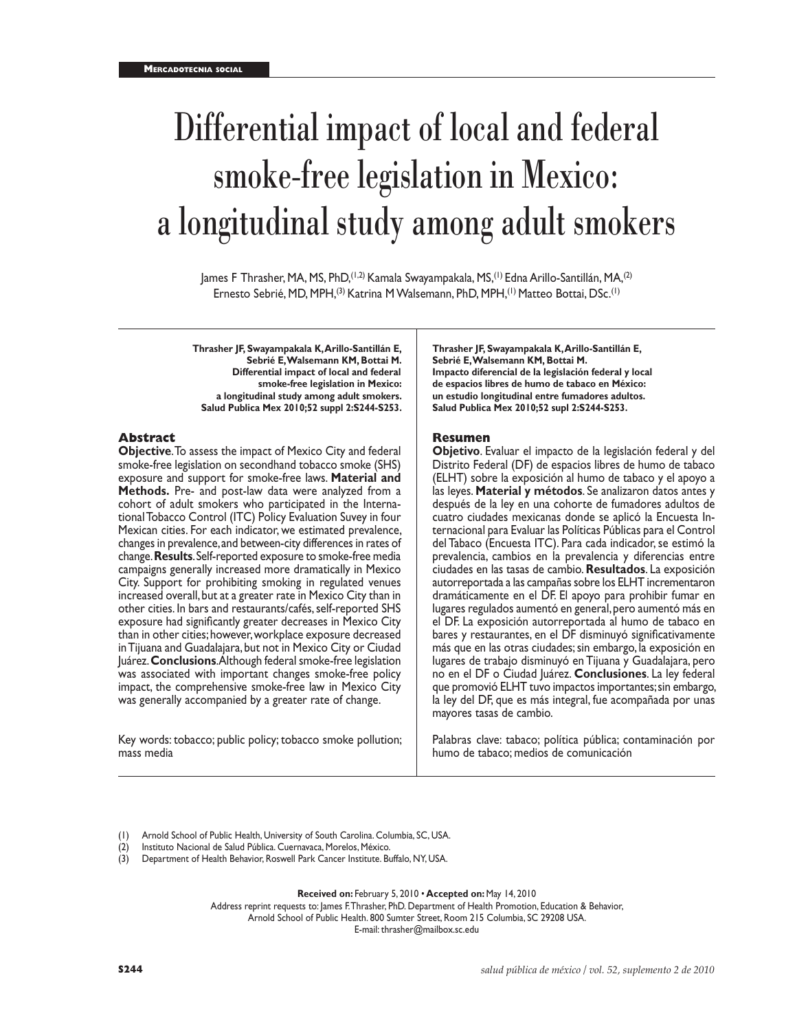# Differential impact of local and federal smoke-free legislation in Mexico: a longitudinal study among adult smokers

James F Thrasher, MA, MS, PhD,(1,2) Kamala Swayampakala, MS,(1) Edna Arillo-Santillán, MA,(2) Ernesto Sebrié, MD, MPH,<sup>(3)</sup> Katrina M Walsemann, PhD, MPH,<sup>(1)</sup> Matteo Bottai, DSc.<sup>(1)</sup>

**Thrasher JF, Swayampakala K, Arillo-Santillán E, Sebrié E, Walsemann KM, Bottai M. Differential impact of local and federal smoke-free legislation in Mexico: a longitudinal study among adult smokers. Salud Publica Mex 2010;52 suppl 2:S244-S253.**

## **Abstract**

**Objective**. To assess the impact of Mexico City and federal smoke-free legislation on secondhand tobacco smoke (SHS) exposure and support for smoke-free laws. **Material and Methods.** Pre- and post-law data were analyzed from a cohort of adult smokers who participated in the International Tobacco Control (ITC) Policy Evaluation Suvey in four Mexican cities. For each indicator, we estimated prevalence, changes in prevalence, and between-city differences in rates of change. **Results**. Self-reported exposure to smoke-free media campaigns generally increased more dramatically in Mexico City. Support for prohibiting smoking in regulated venues increased overall, but at a greater rate in Mexico City than in other cities. In bars and restaurants/cafés, self-reported SHS exposure had significantly greater decreases in Mexico City than in other cities; however, workplace exposure decreased in Tijuana and Guadalajara, but not in Mexico City or Ciudad Juárez. **Conclusions**. Although federal smoke-free legislation was associated with important changes smoke-free policy impact, the comprehensive smoke-free law in Mexico City was generally accompanied by a greater rate of change.

Key words: tobacco; public policy; tobacco smoke pollution; mass media

**Thrasher JF, Swayampakala K, Arillo-Santillán E, Sebrié E, Walsemann KM, Bottai M. Impacto diferencial de la legislación federal y local de espacios libres de humo de tabaco en México: un estudio longitudinal entre fumadores adultos. Salud Publica Mex 2010;52 supl 2:S244-S253.**

# **Resumen**

**Objetivo**. Evaluar el impacto de la legislación federal y del Distrito Federal (DF) de espacios libres de humo de tabaco (ELHT) sobre la exposición al humo de tabaco y el apoyo a las leyes. **Material y métodos**. Se analizaron datos antes y después de la ley en una cohorte de fumadores adultos de cuatro ciudades mexicanas donde se aplicó la Encuesta Internacional para Evaluar las Políticas Públicas para el Control del Tabaco (Encuesta ITC). Para cada indicador, se estimó la prevalencia, cambios en la prevalencia y diferencias entre ciudades en las tasas de cambio. **Resultados**. La exposición autorreportada a las campañas sobre los ELHT incrementaron dramáticamente en el DF. El apoyo para prohibir fumar en lugares regulados aumentó en general, pero aumentó más en el DF. La exposición autorreportada al humo de tabaco en bares y restaurantes, en el DF disminuyó significativamente más que en las otras ciudades; sin embargo, la exposición en lugares de trabajo disminuyó en Tijuana y Guadalajara, pero no en el DF o Ciudad Juárez. **Conclusiones**. La ley federal que promovió ELHT tuvo impactos importantes; sin embargo, la ley del DF, que es más integral, fue acompañada por unas mayores tasas de cambio.

Palabras clave: tabaco; política pública; contaminación por humo de tabaco; medios de comunicación

- (1) Arnold School of Public Health, University of South Carolina. Columbia, SC, USA.
- (2) Instituto Nacional de Salud Pública. Cuernavaca, Morelos, México.
- (3) Department of Health Behavior, Roswell Park Cancer Institute. Buffalo, NY, USA.

**Received on:** February 5, 2010 • **Accepted on:** May 14, 2010

Address reprint requests to: James F. Thrasher, PhD. Department of Health Promotion, Education & Behavior,

Arnold School of Public Health. 800 Sumter Street, Room 215 Columbia, SC 29208 USA.

E-mail: thrasher@mailbox.sc.edu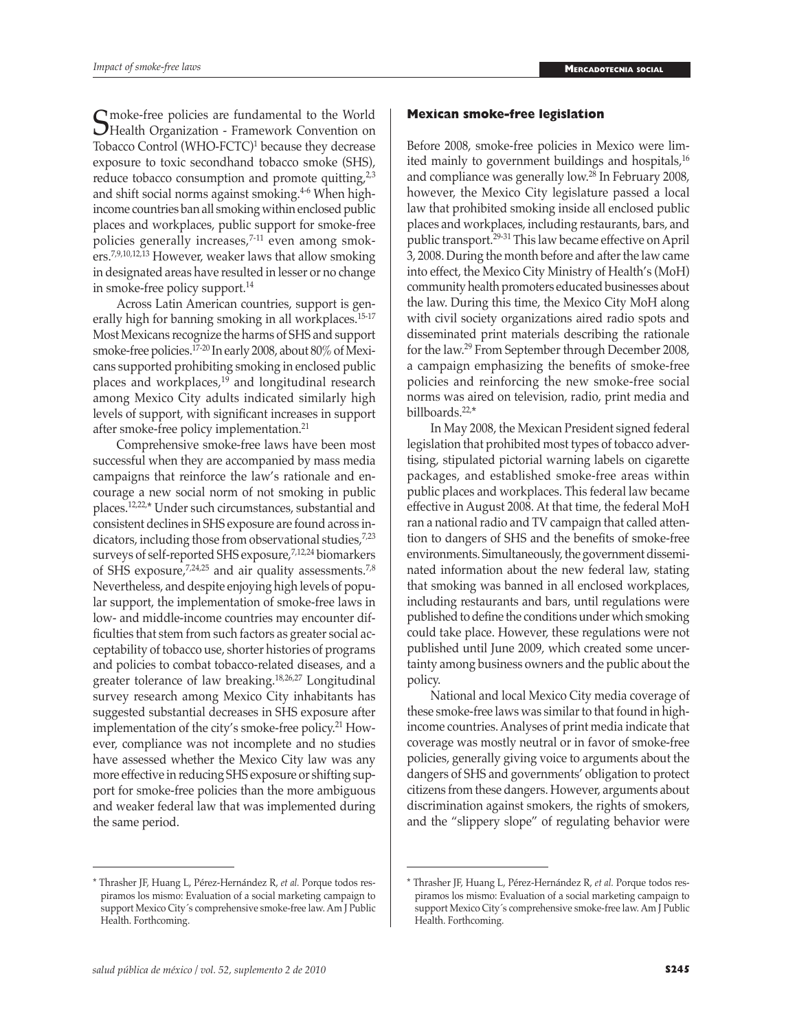Suppose-free policies are fundamental to the World<br>
Health Organization - Framework Convention on<br>
Tebases Control (WHO ECTC) because thay decrease Tobacco Control (WHO-FCTC)<sup>1</sup> because they decrease exposure to toxic secondhand tobacco smoke (SHS), reduce tobacco consumption and promote quitting, $2^{3}$ and shift social norms against smoking.<sup>4-6</sup> When highincome countries ban all smoking within enclosed public places and workplaces, public support for smoke-free policies generally increases, $7-11$  even among smokers.7,9,10,12,13 However, weaker laws that allow smoking in designated areas have resulted in lesser or no change in smoke-free policy support.<sup>14</sup>

Across Latin American countries, support is generally high for banning smoking in all workplaces.<sup>15-17</sup> Most Mexicans recognize the harms of SHS and support smoke-free policies.<sup>17-20</sup> In early 2008, about 80% of Mexicans supported prohibiting smoking in enclosed public places and workplaces,<sup>19</sup> and longitudinal research among Mexico City adults indicated similarly high levels of support, with significant increases in support after smoke-free policy implementation.<sup>21</sup>

Comprehensive smoke-free laws have been most successful when they are accompanied by mass media campaigns that reinforce the law's rationale and encourage a new social norm of not smoking in public places.12,22,\* Under such circumstances, substantial and consistent declines in SHS exposure are found across indicators, including those from observational studies,<sup>7,23</sup> surveys of self-reported SHS exposure,7,12,24 biomarkers of SHS exposure,7,24,25 and air quality assessments.7,8 Nevertheless, and despite enjoying high levels of popular support, the implementation of smoke-free laws in low- and middle-income countries may encounter difficulties that stem from such factors as greater social acceptability of tobacco use, shorter histories of programs and policies to combat tobacco-related diseases, and a greater tolerance of law breaking.18,26,27 Longitudinal survey research among Mexico City inhabitants has suggested substantial decreases in SHS exposure after implementation of the city's smoke-free policy.21 However, compliance was not incomplete and no studies have assessed whether the Mexico City law was any more effective in reducing SHS exposure or shifting support for smoke-free policies than the more ambiguous and weaker federal law that was implemented during the same period.

#### \* Thrasher JF, Huang L, Pérez-Hernández R, *et al.* Porque todos respiramos los mismo: Evaluation of a social marketing campaign to support Mexico City's comprehensive smoke-free law. Am J Public Health. Forthcoming.

#### **Mexican smoke-free legislation**

Before 2008, smoke-free policies in Mexico were limited mainly to government buildings and hospitals,<sup>16</sup> and compliance was generally low.<sup>28</sup> In February 2008, however, the Mexico City legislature passed a local law that prohibited smoking inside all enclosed public places and workplaces, including restaurants, bars, and public transport.<sup>29-31</sup> This law became effective on April 3, 2008. During the month before and after the law came into effect, the Mexico City Ministry of Health's (MoH) community health promoters educated businesses about the law. During this time, the Mexico City MoH along with civil society organizations aired radio spots and disseminated print materials describing the rationale for the law.29 From September through December 2008, a campaign emphasizing the benefits of smoke-free policies and reinforcing the new smoke-free social norms was aired on television, radio, print media and billboards.22,\*

In May 2008, the Mexican President signed federal legislation that prohibited most types of tobacco advertising, stipulated pictorial warning labels on cigarette packages, and established smoke-free areas within public places and workplaces. This federal law became effective in August 2008. At that time, the federal MoH ran a national radio and TV campaign that called attention to dangers of SHS and the benefits of smoke-free environments. Simultaneously, the government disseminated information about the new federal law, stating that smoking was banned in all enclosed workplaces, including restaurants and bars, until regulations were published to define the conditions under which smoking could take place. However, these regulations were not published until June 2009, which created some uncertainty among business owners and the public about the policy.

National and local Mexico City media coverage of these smoke-free laws was similar to that found in highincome countries. Analyses of print media indicate that coverage was mostly neutral or in favor of smoke-free policies, generally giving voice to arguments about the dangers of SHS and governments' obligation to protect citizens from these dangers. However, arguments about discrimination against smokers, the rights of smokers, and the "slippery slope" of regulating behavior were

<sup>\*</sup> Thrasher JF, Huang L, Pérez-Hernández R, *et al.* Porque todos respiramos los mismo: Evaluation of a social marketing campaign to support Mexico City's comprehensive smoke-free law. Am J Public Health. Forthcoming.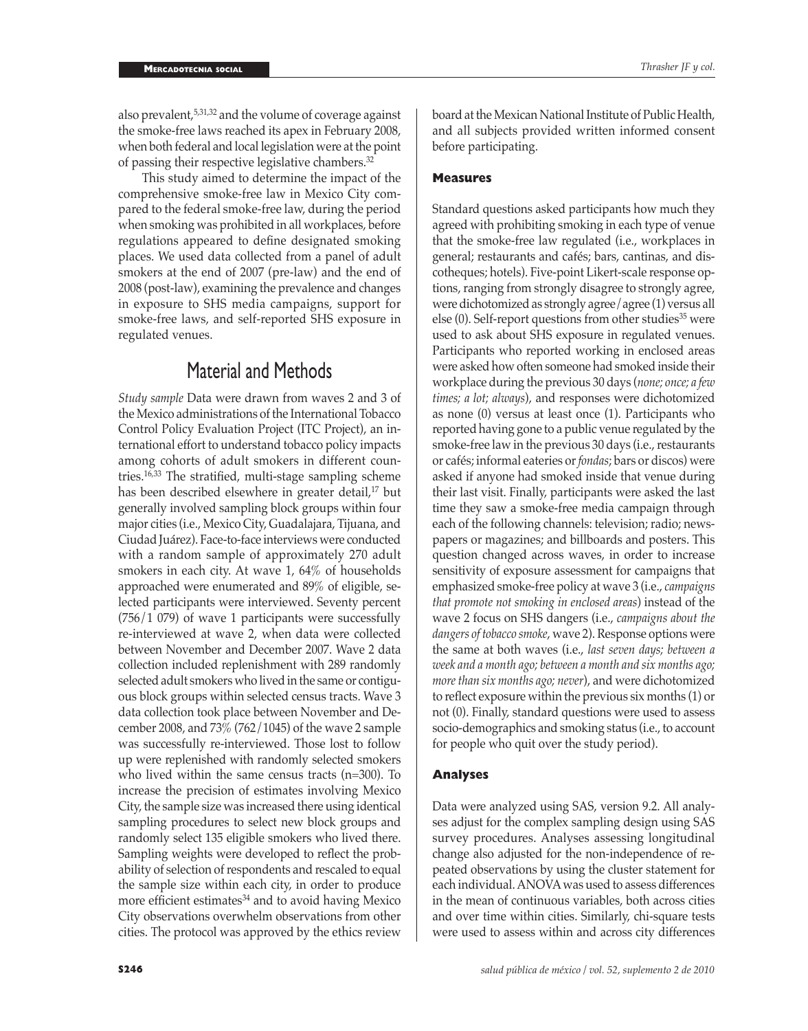also prevalent,<sup>5,31,32</sup> and the volume of coverage against the smoke-free laws reached its apex in February 2008, when both federal and local legislation were at the point of passing their respective legislative chambers. $32$ 

This study aimed to determine the impact of the comprehensive smoke-free law in Mexico City compared to the federal smoke-free law, during the period when smoking was prohibited in all workplaces, before regulations appeared to define designated smoking places. We used data collected from a panel of adult smokers at the end of 2007 (pre-law) and the end of 2008 (post-law), examining the prevalence and changes in exposure to SHS media campaigns, support for smoke-free laws, and self-reported SHS exposure in regulated venues.

# Material and Methods

*Study sample* Data were drawn from waves 2 and 3 of the Mexico administrations of the International Tobacco Control Policy Evaluation Project (ITC Project), an international effort to understand tobacco policy impacts among cohorts of adult smokers in different countries.16,33 The stratified, multi-stage sampling scheme has been described elsewhere in greater detail,<sup>17</sup> but generally involved sampling block groups within four major cities (i.e., Mexico City, Guadalajara, Tijuana, and Ciudad Juárez). Face-to-face interviews were conducted with a random sample of approximately 270 adult smokers in each city. At wave 1, 64% of households approached were enumerated and 89% of eligible, selected participants were interviewed. Seventy percent (756/1 079) of wave 1 participants were successfully re-interviewed at wave 2, when data were collected between November and December 2007. Wave 2 data collection included replenishment with 289 randomly selected adult smokers who lived in the same or contiguous block groups within selected census tracts. Wave 3 data collection took place between November and December 2008, and 73% (762/1045) of the wave 2 sample was successfully re-interviewed. Those lost to follow up were replenished with randomly selected smokers who lived within the same census tracts (n=300). To increase the precision of estimates involving Mexico City, the sample size was increased there using identical sampling procedures to select new block groups and randomly select 135 eligible smokers who lived there. Sampling weights were developed to reflect the probability of selection of respondents and rescaled to equal the sample size within each city, in order to produce more efficient estimates<sup>34</sup> and to avoid having Mexico City observations overwhelm observations from other cities. The protocol was approved by the ethics review

# **Measures**

Standard questions asked participants how much they agreed with prohibiting smoking in each type of venue that the smoke-free law regulated (i.e., workplaces in general; restaurants and cafés; bars, cantinas, and discotheques; hotels). Five-point Likert-scale response options, ranging from strongly disagree to strongly agree, were dichotomized as strongly agree/agree (1) versus all else  $(0)$ . Self-report questions from other studies<sup>35</sup> were used to ask about SHS exposure in regulated venues. Participants who reported working in enclosed areas were asked how often someone had smoked inside their workplace during the previous 30 days (*none; once; a few times; a lot; always*), and responses were dichotomized as none (0) versus at least once (1). Participants who reported having gone to a public venue regulated by the smoke-free law in the previous 30 days (i.e., restaurants or cafés; informal eateries or *fondas*; bars or discos) were asked if anyone had smoked inside that venue during their last visit. Finally, participants were asked the last time they saw a smoke-free media campaign through each of the following channels: television; radio; newspapers or magazines; and billboards and posters. This question changed across waves, in order to increase sensitivity of exposure assessment for campaigns that emphasized smoke-free policy at wave 3 (i.e., *campaigns that promote not smoking in enclosed areas*) instead of the wave 2 focus on SHS dangers (i.e., *campaigns about the dangers of tobacco smoke*, wave 2). Response options were the same at both waves (i.e., *last seven days; between a week and a month ago; between a month and six months ago; more than six months ago; never*), and were dichotomized to reflect exposure within the previous six months (1) or not (0). Finally, standard questions were used to assess socio-demographics and smoking status (i.e., to account for people who quit over the study period).

# **Analyses**

Data were analyzed using SAS, version 9.2. All analyses adjust for the complex sampling design using SAS survey procedures. Analyses assessing longitudinal change also adjusted for the non-independence of repeated observations by using the cluster statement for each individual. ANOVA was used to assess differences in the mean of continuous variables, both across cities and over time within cities. Similarly, chi-square tests were used to assess within and across city differences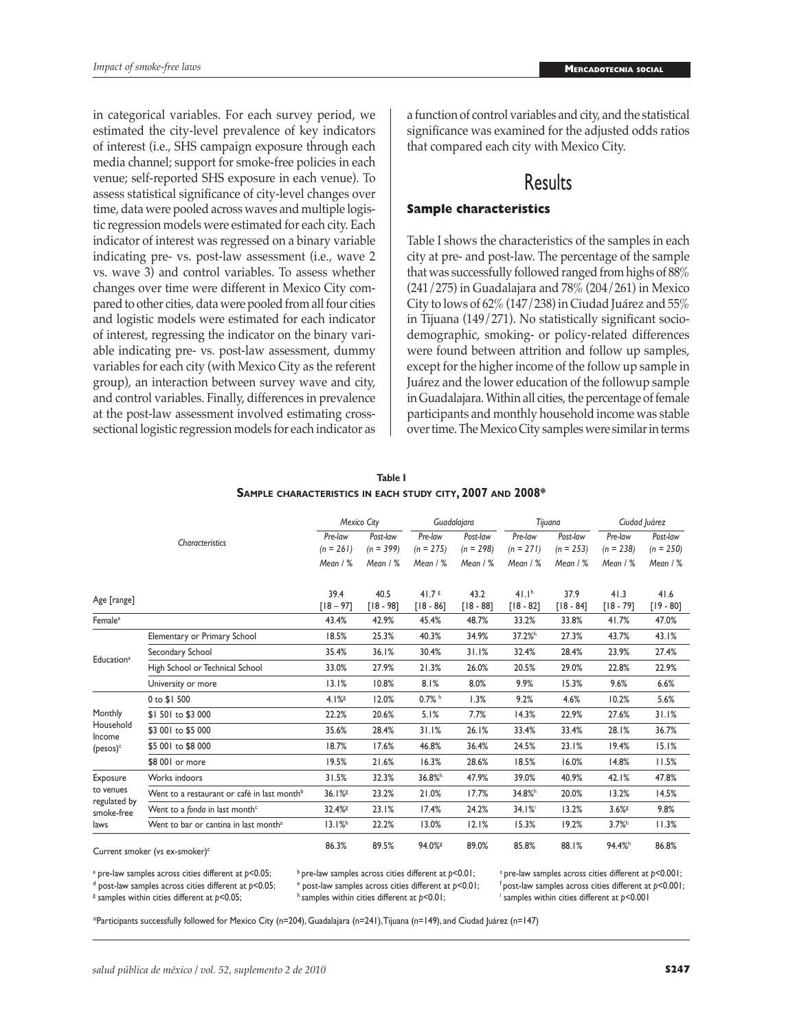in categorical variables. For each survey period, we estimated the city-level prevalence of key indicators of interest (i.e., SHS campaign exposure through each media channel; support for smoke-free policies in each venue; self-reported SHS exposure in each venue). To assess statistical significance of city-level changes over time, data were pooled across waves and multiple logistic regression models were estimated for each city. Each indicator of interest was regressed on a binary variable indicating pre- vs. post-law assessment (i.e., wave 2 vs. wave 3) and control variables. To assess whether changes over time were different in Mexico City compared to other cities, data were pooled from all four cities and logistic models were estimated for each indicator of interest, regressing the indicator on the binary variable indicating pre- vs. post-law assessment, dummy variables for each city (with Mexico City as the referent group), an interaction between survey wave and city, and control variables. Finally, differences in prevalence at the post-law assessment involved estimating crosssectional logistic regression models for each indicator as a function of control variables and city, and the statistical significance was examined for the adjusted odds ratios that compared each city with Mexico City.

# Results

# **Sample characteristics**

Table I shows the characteristics of the samples in each city at pre- and post-law. The percentage of the sample that was successfully followed ranged from highs of 88% (241/275) in Guadalajara and 78% (204/261) in Mexico City to lows of 62% (147/238) in Ciudad Juárez and 55% in Tijuana (149/271). No statistically significant sociodemographic, smoking- or policy-related differences were found between attrition and follow up samples, except for the higher income of the follow up sample in Juárez and the lower education of the followup sample in Guadalajara. Within all cities, the percentage of female participants and monthly household income was stable over time. The Mexico City samples were similar in terms

|                                                              |                                                         | Mexico City            |                         | Guadalajara                      |                         | Tijuana                          |                         | Ciudad Juárez          |                         |
|--------------------------------------------------------------|---------------------------------------------------------|------------------------|-------------------------|----------------------------------|-------------------------|----------------------------------|-------------------------|------------------------|-------------------------|
|                                                              | Characteristics                                         | Pre-law<br>$(n = 261)$ | Post-law<br>$(n = 399)$ | Pre-law<br>$(n = 275)$           | Post-law<br>$(n = 298)$ | Pre-law<br>$(n = 271)$           | Post-law<br>$(n = 253)$ | Pre-law<br>$(n = 238)$ | Post-law<br>$(n = 250)$ |
|                                                              |                                                         | Mean / %               | Mean / %                | Mean / %                         | Mean / %                | Mean / %                         | Mean $/$ %              | Mean $/$ %             | Mean $/$ %              |
| Age [range]                                                  |                                                         | 39.4<br>$[18 - 97]$    | 40.5<br>$[18 - 98]$     | 41.7 <sup>g</sup><br>$[18 - 86]$ | 43.2<br>$[18 - 88]$     | 41.1 <sup>h</sup><br>$[18 - 82]$ | 37.9<br>$[18 - 84]$     | 41.3<br>$[18 - 79]$    | 41.6<br>$[19 - 80]$     |
| Female <sup>a</sup>                                          |                                                         | 43.4%                  | 42.9%                   | 45.4%                            | 48.7%                   | 33.2%                            | 33.8%                   | 41.7%                  | 47.0%                   |
| Education <sup>a</sup>                                       | Elementary or Primary School                            | 18.5%                  | 25.3%                   | 40.3%                            | 34.9%                   | 37.2% <sup>h</sup>               | 27.3%                   | 43.7%                  | 43.I%                   |
|                                                              | Secondary School                                        | 35.4%                  | 36.1%                   | 30.4%                            | 31.1%                   | 32.4%                            | 28.4%                   | 23.9%                  | 27.4%                   |
|                                                              | High School or Technical School                         | 33.0%                  | 27.9%                   | 21.3%                            | 26.0%                   | 20.5%                            | 29.0%                   | 22.8%                  | 22.9%                   |
|                                                              | University or more                                      | 13.1%                  | 10.8%                   | 8.1%                             | 8.0%                    | 9.9%                             | 15.3%                   | 9.6%                   | 6.6%                    |
| Monthly<br>Household<br>Income<br>$($ pesos $)$ <sup>c</sup> | 0 to \$1 500                                            | 4.1%                   | 12.0%                   | $0.7%$ h                         | 1.3%                    | 9.2%                             | 4.6%                    | 10.2%                  | 5.6%                    |
|                                                              | \$1501 to \$3 000                                       | 22.2%                  | 20.6%                   | 5.1%                             | 7.7%                    | 14.3%                            | 22.9%                   | 27.6%                  | 31.1%                   |
|                                                              | \$3 001 to \$5 000                                      | 35.6%                  | 28.4%                   | 31.1%                            | 26.1%                   | 33.4%                            | 33.4%                   | 28.1%                  | 36.7%                   |
|                                                              | \$5 001 to \$8 000                                      | 18.7%                  | 17.6%                   | 46.8%                            | 36.4%                   | 24.5%                            | 23.1%                   | 19.4%                  | 15.1%                   |
|                                                              | \$8 001 or more                                         | 19.5%                  | 21.6%                   | 16.3%                            | 28.6%                   | 18.5%                            | 16.0%                   | 14.8%                  | 11.5%                   |
| Exposure<br>to venues<br>regulated by<br>smoke-free<br>laws  | Works indoors                                           | 31.5%                  | 32.3%                   | 36.8% <sup>h</sup>               | 47.9%                   | 39.0%                            | 40.9%                   | 42.1%                  | 47.8%                   |
|                                                              | Went to a restaurant or café in last month <sup>b</sup> | 36.1%                  | 23.2%                   | 21.0%                            | 17.7%                   | 34.8% <sup>h</sup>               | 20.0%                   | 13.2%                  | 14.5%                   |
|                                                              | Went to a fonda in last month <sup>c</sup>              | 32.4% <sup>g</sup>     | 23.1%                   | 17.4%                            | 24.2%                   | 34.1%                            | 13.2%                   | 3.6%                   | 9.8%                    |
|                                                              | Went to bar or cantina in last month <sup>a</sup>       | 13.1%                  | 22.2%                   | 13.0%                            | 12.1%                   | 15.3%                            | 19.2%                   | 3.7%                   | 11.3%                   |
| Current smoker (vs ex-smoker) <sup>c</sup>                   |                                                         | 86.3%                  | 89.5%                   | 94.0% <sup>g</sup>               | 89.0%                   | 85.8%                            | 88.1%                   | 94.4% <sup>h</sup>     | 86.8%                   |

| Table I                                                          |  |
|------------------------------------------------------------------|--|
| Sample characteristics in each study city, 2007 and 2008 $^\ast$ |  |

<sup>g</sup> samples within cities different at p<0.05;

<sup>a</sup> pre-law samples across cities different at  $p$ <0.05; a pre-law samples across cities different at p<0.05; bre-law samples across cities different at p<0.01; fre-law samples across cities different at p<0.001; dpost-law samples across cities different at p<0.001; dpost-law s

h samples within cities different at  $p$ <0.01;

f post-law samples across cities different at  $p$ <0.001; samples within cities different at *p*<0.001

\*Participants successfully followed for Mexico City (n=204), Guadalajara (n=241), Tijuana (n=149), and Ciudad Juárez (n=147)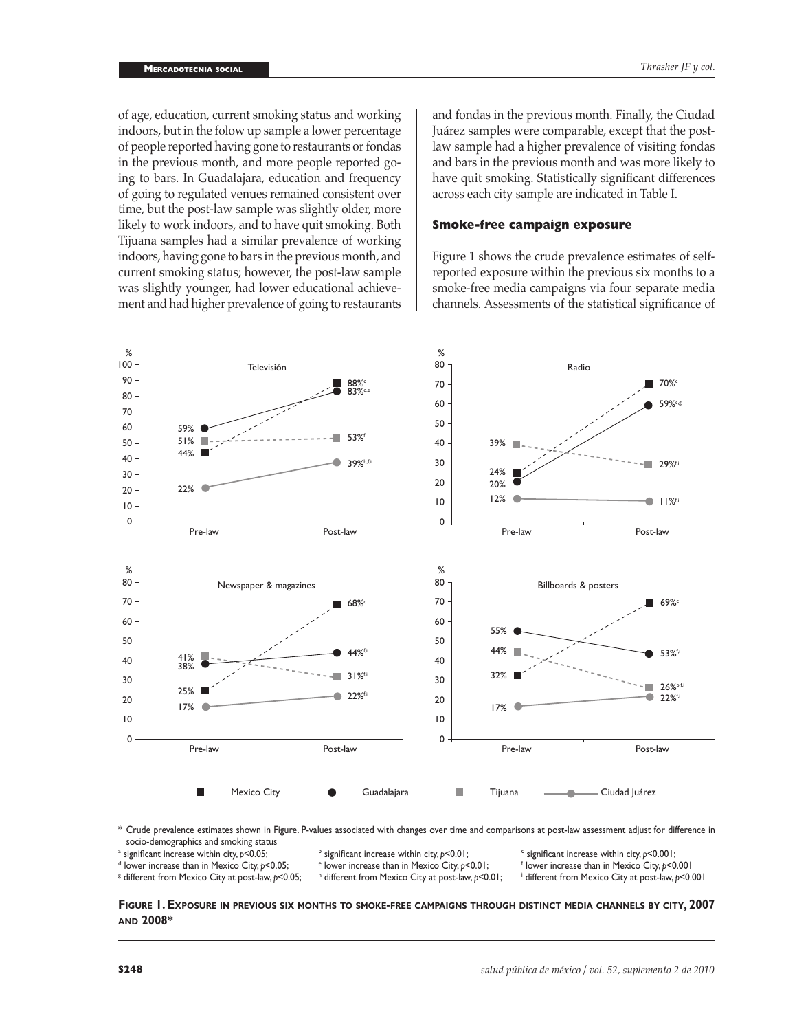of age, education, current smoking status and working indoors, but in the folow up sample a lower percentage of people reported having gone to restaurants or fondas in the previous month, and more people reported going to bars. In Guadalajara, education and frequency of going to regulated venues remained consistent over time, but the post-law sample was slightly older, more likely to work indoors, and to have quit smoking. Both Tijuana samples had a similar prevalence of working indoors, having gone to bars in the previous month, and current smoking status; however, the post-law sample was slightly younger, had lower educational achievement and had higher prevalence of going to restaurants

and fondas in the previous month. Finally, the Ciudad Juárez samples were comparable, except that the postlaw sample had a higher prevalence of visiting fondas and bars in the previous month and was more likely to have quit smoking. Statistically significant differences across each city sample are indicated in Table I.

# **Smoke-free campaign exposure**

Figure 1 shows the crude prevalence estimates of selfreported exposure within the previous six months to a smoke-free media campaigns via four separate media channels. Assessments of the statistical significance of



\* Crude prevalence estimates shown in Figure. P-values associated with changes over time and comparisons at post-law assessment adjust for difference in socio-demographics and smoking status

 $^{\text{a}}$  significant increase within city,  $p$ <0.05;  $^{\text{b}}$ 

<sup>b</sup> significant increase within city,  $p$ <0.01; contained a significant increase within city,  $p$ <0.001;

<sup>g</sup> different from Mexico City at post-law, p<0.05; http://

h different from Mexico City at post-law,  $p$ <0.01;

significant increase within city, p<0.05; <sup>b</sup>significant increase within city, p<0.01; <sup>e</sup>significant increase than in Mexico City, p<0.05; espectioned than in Mexico City, p<0.01; espectioner increase than in Mexico City lower increase than in Mexico City, *p*<0.001

different from Mexico City at post-law, *p*<0.001

**Figure 1. Exposure in previous six months to smoke-free campaigns through distinct media channels by city, 2007 and 2008\***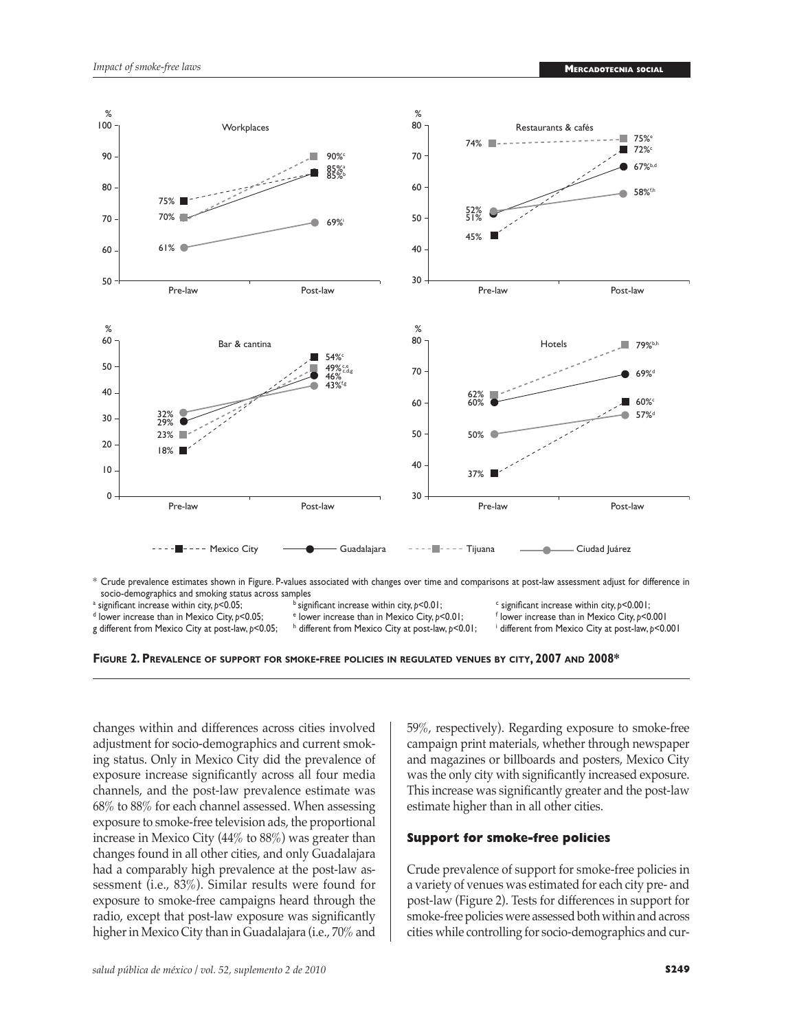

socio-demographics and smoking status across samples significant increase within city, *p*<0.01;

<sup>a</sup> significant increase within city,  $p<0.05$ ;

- <sup>d</sup> lower increase than in Mexico City, p<0.05; g different from Mexico City at post-law,  $p$ <0.05;
	- lower increase than in Mexico City,  $p$ <0.01; h different from Mexico City at post-law,  $p$ <0.01;
- significant increase within city, *p*<0.001; lower increase than in Mexico City, *p*<0.001
- different from Mexico City at post-law, *p*<0.001

**Figure 2. Prevalence of support for smoke-free policies in regulated venues by city, 2007 and 2008\***

changes within and differences across cities involved adjustment for socio-demographics and current smoking status. Only in Mexico City did the prevalence of exposure increase significantly across all four media channels, and the post-law prevalence estimate was 68% to 88% for each channel assessed. When assessing exposure to smoke-free television ads, the proportional increase in Mexico City (44% to 88%) was greater than changes found in all other cities, and only Guadalajara had a comparably high prevalence at the post-law assessment (i.e., 83%). Similar results were found for exposure to smoke-free campaigns heard through the radio, except that post-law exposure was significantly higher in Mexico City than in Guadalajara (i.e., 70% and 59%, respectively). Regarding exposure to smoke-free campaign print materials, whether through newspaper and magazines or billboards and posters, Mexico City was the only city with significantly increased exposure. This increase was significantly greater and the post-law estimate higher than in all other cities.

# **Support for smoke-free policies**

Crude prevalence of support for smoke-free policies in a variety of venues was estimated for each city pre- and post-law (Figure 2). Tests for differences in support for smoke-free policies were assessed both within and across cities while controlling for socio-demographics and cur-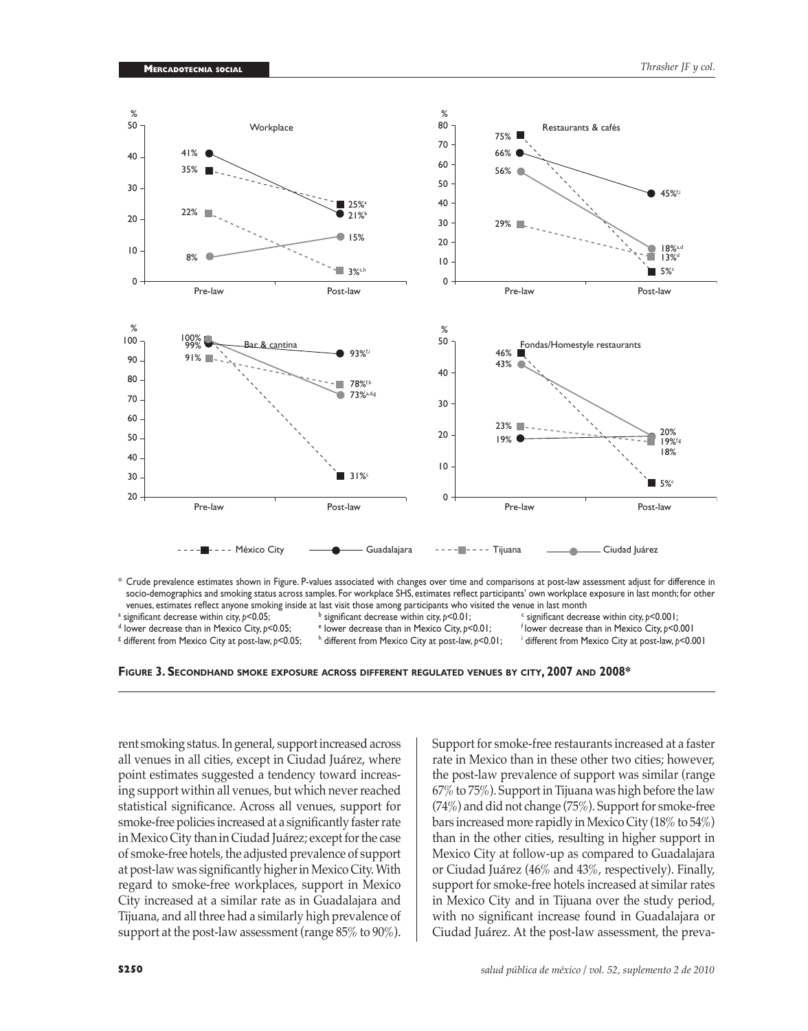

venues, estimates reflect anyone smoking inside at last visit those among participants who visited the venue in last month<br>significant decrease within city,  $p < 0.001$ ;<br>significant decrease within city,  $p < 0.001$ ;

 $^{\text{a}}$  significant decrease within city,  $p$ <0.05;  $^{\text{b}}$ <sup>b</sup> significant decrease within city,  $p$ <0.01; significant decrease within city, p<0.05; experificant decrease within city, p<0.001; experificant decrease than in Mexico City, p<0.001;<br><sup>d</sup> lower decrease than in Mexico City, p<0.001; experificant decrease than in Mex

<sup>g</sup> different from Mexico City at post-law, p<0.05; http://

h different from Mexico City at post-law,  $p$ <0.01;

different from Mexico City at post-law, *p*<0.001

**Figure 3. Secondhand smoke exposure across different regulated venues by city, 2007 and 2008\***

rent smoking status. In general, support increased across all venues in all cities, except in Ciudad Juárez, where point estimates suggested a tendency toward increasing support within all venues, but which never reached statistical significance. Across all venues, support for smoke-free policies increased at a significantly faster rate in Mexico City than in Ciudad Juárez; except for the case of smoke-free hotels, the adjusted prevalence of support at post-law was significantly higher in Mexico City. With regard to smoke-free workplaces, support in Mexico City increased at a similar rate as in Guadalajara and Tijuana, and all three had a similarly high prevalence of support at the post-law assessment (range 85% to 90%).

Support for smoke-free restaurants increased at a faster rate in Mexico than in these other two cities; however, the post-law prevalence of support was similar (range 67% to 75%). Support in Tijuana was high before the law (74%) and did not change (75%). Support for smoke-free bars increased more rapidly in Mexico City (18% to 54%) than in the other cities, resulting in higher support in Mexico City at follow-up as compared to Guadalajara or Ciudad Juárez (46% and 43%, respectively). Finally, support for smoke-free hotels increased at similar rates in Mexico City and in Tijuana over the study period, with no significant increase found in Guadalajara or Ciudad Juárez. At the post-law assessment, the preva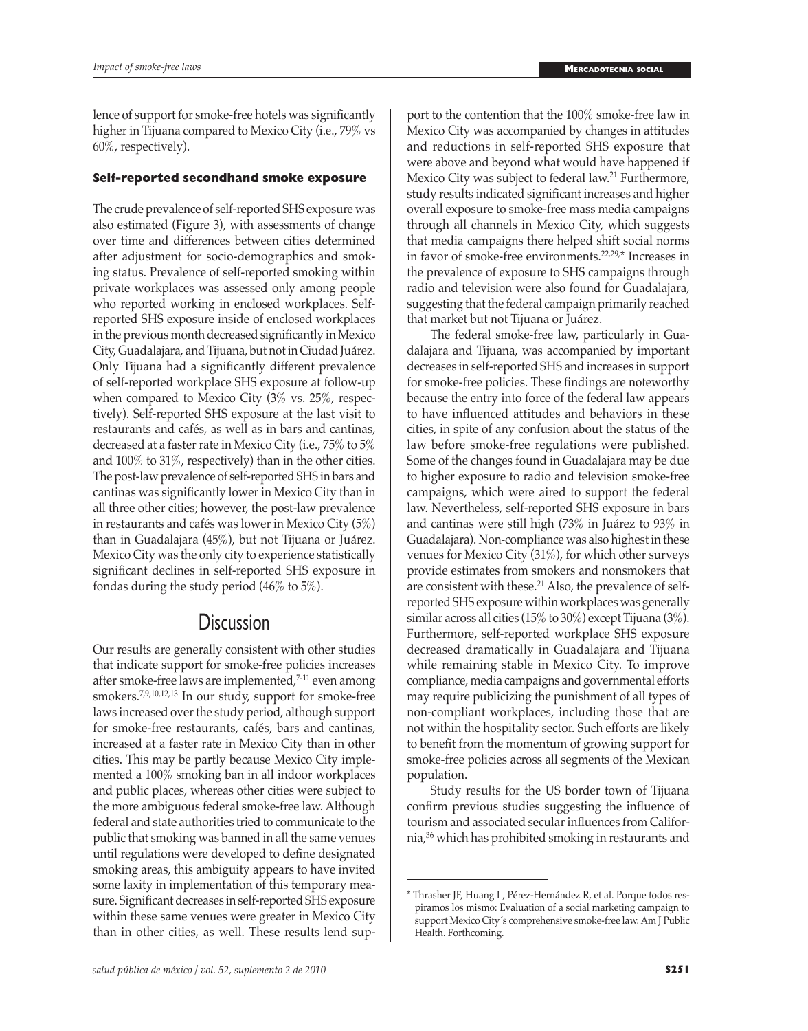lence of support for smoke-free hotels was significantly higher in Tijuana compared to Mexico City (i.e., 79% vs 60%, respectively).

# **Self-reported secondhand smoke exposure**

The crude prevalence of self-reported SHS exposure was also estimated (Figure 3), with assessments of change over time and differences between cities determined after adjustment for socio-demographics and smoking status. Prevalence of self-reported smoking within private workplaces was assessed only among people who reported working in enclosed workplaces. Selfreported SHS exposure inside of enclosed workplaces in the previous month decreased significantly in Mexico City, Guadalajara, and Tijuana, but not in Ciudad Juárez. Only Tijuana had a significantly different prevalence of self-reported workplace SHS exposure at follow-up when compared to Mexico City (3% vs. 25%, respectively). Self-reported SHS exposure at the last visit to restaurants and cafés, as well as in bars and cantinas, decreased at a faster rate in Mexico City (i.e., 75% to 5% and 100% to 31%, respectively) than in the other cities. The post-law prevalence of self-reported SHS in bars and cantinas was significantly lower in Mexico City than in all three other cities; however, the post-law prevalence in restaurants and cafés was lower in Mexico City (5%) than in Guadalajara (45%), but not Tijuana or Juárez. Mexico City was the only city to experience statistically significant declines in self-reported SHS exposure in fondas during the study period (46% to 5%).

# **Discussion**

Our results are generally consistent with other studies that indicate support for smoke-free policies increases after smoke-free laws are implemented,<sup>7-11</sup> even among smokers.7,9,10,12,13 In our study, support for smoke-free laws increased over the study period, although support for smoke-free restaurants, cafés, bars and cantinas, increased at a faster rate in Mexico City than in other cities. This may be partly because Mexico City implemented a 100% smoking ban in all indoor workplaces and public places, whereas other cities were subject to the more ambiguous federal smoke-free law. Although federal and state authorities tried to communicate to the public that smoking was banned in all the same venues until regulations were developed to define designated smoking areas, this ambiguity appears to have invited some laxity in implementation of this temporary measure. Significant decreases in self-reported SHS exposure within these same venues were greater in Mexico City than in other cities, as well. These results lend sup-

port to the contention that the 100% smoke-free law in Mexico City was accompanied by changes in attitudes and reductions in self-reported SHS exposure that were above and beyond what would have happened if Mexico City was subject to federal law.<sup>21</sup> Furthermore, study results indicated significant increases and higher overall exposure to smoke-free mass media campaigns through all channels in Mexico City, which suggests that media campaigns there helped shift social norms in favor of smoke-free environments.22,29,\* Increases in the prevalence of exposure to SHS campaigns through radio and television were also found for Guadalajara, suggesting that the federal campaign primarily reached that market but not Tijuana or Juárez.

The federal smoke-free law, particularly in Guadalajara and Tijuana, was accompanied by important decreases in self-reported SHS and increases in support for smoke-free policies. These findings are noteworthy because the entry into force of the federal law appears to have influenced attitudes and behaviors in these cities, in spite of any confusion about the status of the law before smoke-free regulations were published. Some of the changes found in Guadalajara may be due to higher exposure to radio and television smoke-free campaigns, which were aired to support the federal law. Nevertheless, self-reported SHS exposure in bars and cantinas were still high (73% in Juárez to 93% in Guadalajara). Non-compliance was also highest in these venues for Mexico City (31%), for which other surveys provide estimates from smokers and nonsmokers that are consistent with these.<sup>21</sup> Also, the prevalence of selfreported SHS exposure within workplaces was generally similar across all cities (15% to 30%) except Tijuana (3%). Furthermore, self-reported workplace SHS exposure decreased dramatically in Guadalajara and Tijuana while remaining stable in Mexico City. To improve compliance, media campaigns and governmental efforts may require publicizing the punishment of all types of non-compliant workplaces, including those that are not within the hospitality sector. Such efforts are likely to benefit from the momentum of growing support for smoke-free policies across all segments of the Mexican population.

Study results for the US border town of Tijuana confirm previous studies suggesting the influence of tourism and associated secular influences from California,36 which has prohibited smoking in restaurants and

<sup>\*</sup> Thrasher JF, Huang L, Pérez-Hernández R, et al. Porque todos respiramos los mismo: Evaluation of a social marketing campaign to support Mexico City´s comprehensive smoke-free law. Am J Public Health. Forthcoming.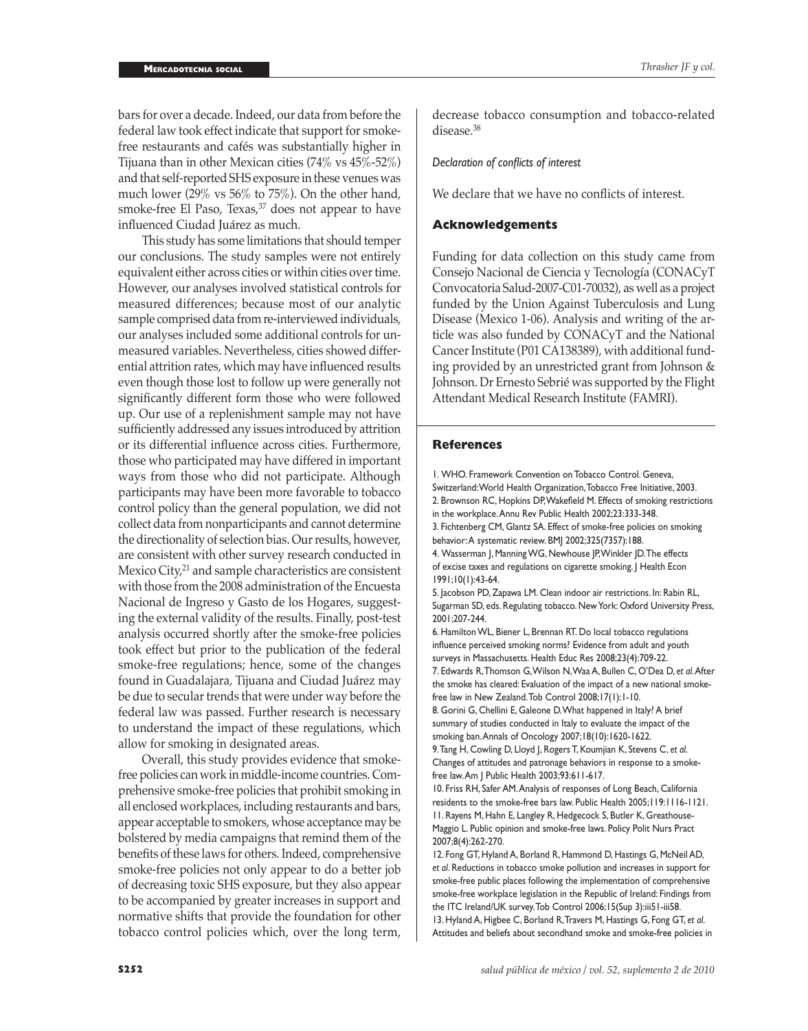bars for over a decade. Indeed, our data from before the federal law took effect indicate that support for smokefree restaurants and cafés was substantially higher in Tijuana than in other Mexican cities (74% vs 45%-52%) and that self-reported SHS exposure in these venues was much lower (29% vs 56% to 75%). On the other hand, smoke-free El Paso, Texas, $37$  does not appear to have influenced Ciudad Juárez as much.

This study has some limitations that should temper our conclusions. The study samples were not entirely equivalent either across cities or within cities over time. However, our analyses involved statistical controls for measured differences; because most of our analytic sample comprised data from re-interviewed individuals, our analyses included some additional controls for unmeasured variables. Nevertheless, cities showed differential attrition rates, which may have influenced results even though those lost to follow up were generally not significantly different form those who were followed up. Our use of a replenishment sample may not have sufficiently addressed any issues introduced by attrition or its differential influence across cities. Furthermore, those who participated may have differed in important ways from those who did not participate. Although participants may have been more favorable to tobacco control policy than the general population, we did not collect data from nonparticipants and cannot determine the directionality of selection bias. Our results, however, are consistent with other survey research conducted in Mexico City,<sup>21</sup> and sample characteristics are consistent with those from the 2008 administration of the Encuesta Nacional de Ingreso y Gasto de los Hogares, suggesting the external validity of the results. Finally, post-test analysis occurred shortly after the smoke-free policies took effect but prior to the publication of the federal smoke-free regulations; hence, some of the changes found in Guadalajara, Tijuana and Ciudad Juárez may be due to secular trends that were under way before the federal law was passed. Further research is necessary to understand the impact of these regulations, which allow for smoking in designated areas.

Overall, this study provides evidence that smokefree policies can work in middle-income countries. Comprehensive smoke-free policies that prohibit smoking in all enclosed workplaces, including restaurants and bars, appear acceptable to smokers, whose acceptance may be bolstered by media campaigns that remind them of the benefits of these laws for others. Indeed, comprehensive smoke-free policies not only appear to do a better job of decreasing toxic SHS exposure, but they also appear to be accompanied by greater increases in support and normative shifts that provide the foundation for other tobacco control policies which, over the long term,

decrease tobacco consumption and tobacco-related disease.<sup>38</sup>

### *Declaration of conflicts of interest*

We declare that we have no conflicts of interest.

## **Acknowledgements**

Funding for data collection on this study came from Consejo Nacional de Ciencia y Tecnología (CONACyT Convocatoria Salud-2007-C01-70032), as well as a project funded by the Union Against Tuberculosis and Lung Disease (Mexico 1-06). Analysis and writing of the article was also funded by CONACyT and the National Cancer Institute (P01 CA138389), with additional funding provided by an unrestricted grant from Johnson & Johnson. Dr Ernesto Sebrié was supported by the Flight Attendant Medical Research Institute (FAMRI).

#### **References**

1. WHO. Framework Convention on Tobacco Control. Geneva, Switzerland: World Health Organization, Tobacco Free Initiative, 2003. 2. Brownson RC, Hopkins DP, Wakefield M. Effects of smoking restrictions in the workplace. Annu Rev Public Health 2002;23:333-348. 3. Fichtenberg CM, Glantz SA. Effect of smoke-free policies on smoking behavior: A systematic review. BMJ 2002;325(7357):188.

4. Wasserman J, Manning WG, Newhouse JP, Winkler JD. The effects of excise taxes and regulations on cigarette smoking. J Health Econ 1991;10(1):43-64.

5. Jacobson PD, Zapawa LM. Clean indoor air restrictions. In: Rabin RL, Sugarman SD, eds. Regulating tobacco. New York: Oxford University Press, 2001;207-244.

6. Hamilton WL, Biener L, Brennan RT. Do local tobacco regulations influence perceived smoking norms? Evidence from adult and youth surveys in Massachusetts. Health Educ Res 2008;23(4):709-22. 7. Edwards R, Thomson G, Wilson N, Waa A, Bullen C, O'Dea D, *et al*. After

the smoke has cleared: Evaluation of the impact of a new national smokefree law in New Zealand. Tob Control 2008;17(1):1-10.

8. Gorini G, Chellini E, Galeone D. What happened in Italy? A brief summary of studies conducted in Italy to evaluate the impact of the smoking ban. Annals of Oncology 2007;18(10):1620-1622.

9. Tang H, Cowling D, Lloyd J, Rogers T, Koumjian K, Stevens C, *et al*. Changes of attitudes and patronage behaviors in response to a smokefree law. Am J Public Health 2003;93:611-617.

10. Friss RH, Safer AM. Analysis of responses of Long Beach, California residents to the smoke-free bars law. Public Health 2005;119:1116-1121. 11. Rayens M, Hahn E, Langley R, Hedgecock S, Butler K, Greathouse-Maggio L. Public opinion and smoke-free laws. Policy Polit Nurs Pract 2007;8(4):262-270.

12. Fong GT, Hyland A, Borland R, Hammond D, Hastings G, McNeil AD, *et al*. Reductions in tobacco smoke pollution and increases in support for smoke-free public places following the implementation of comprehensive smoke-free workplace legislation in the Republic of Ireland: Findings from the ITC Ireland/UK survey. Tob Control 2006;15(Sup 3):iii51-iii58. 13. Hyland A, Higbee C, Borland R, Travers M, Hastings G, Fong GT, *et al*. Attitudes and beliefs about secondhand smoke and smoke-free policies in